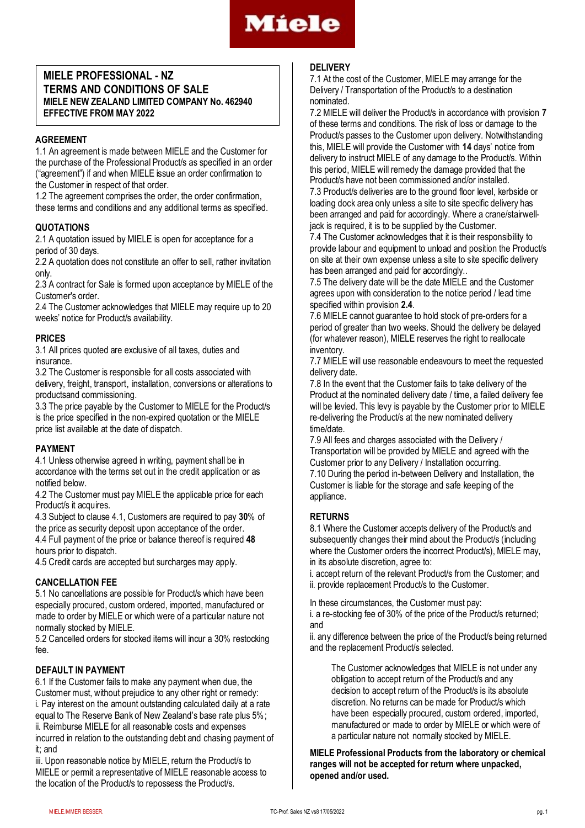

# **MIELE PROFESSIONAL - NZ TERMS AND CONDITIONS OF SALE MIELE NEW ZEALAND LIMITED COMPANY No. 462940 EFFECTIVE FROM MAY 2022**

# **AGREEMENT**

1.1 An agreement is made between MIELE and the Customer for the purchase of the Professional Product/s as specified in an order ("agreement") if and when MIELE issue an order confirmation to the Customer in respect of that order.

1.2 The agreement comprises the order, the order confirmation, these terms and conditions and any additional terms as specified.

### **QUOTATIONS**

2.1 A quotation issued by MIELE is open for acceptance for a period of 30 days.

2.2 A quotation does not constitute an offer to sell, rather invitation only.

2.3 A contract for Sale is formed upon acceptance by MIELE of the Customer's order.

2.4 The Customer acknowledges that MIELE may require up to 20 weeks' notice for Product/s availability.

### **PRICES**

3.1 All prices quoted are exclusive of all taxes, duties and insurance.

3.2 The Customer is responsible for all costs associated with delivery, freight, transport, installation, conversions or alterations to productsand commissioning.

3.3 The price payable by the Customer to MIELE for the Product/s is the price specified in the non-expired quotation or the MIELE price list available at the date of dispatch.

# **PAYMENT**

4.1 Unless otherwise agreed in writing, payment shall be in accordance with the terms set out in the credit application or as notified below.

4.2 The Customer must pay MIELE the applicable price for each Product/s it acquires.

4.3 Subject to clause 4.1, Customers are required to pay **30**% of the price as security deposit upon acceptance of the order.

4.4 Full payment of the price or balance thereof is required **48** hours prior to dispatch.

4.5 Credit cards are accepted but surcharges may apply.

### **CANCELLATION FEE**

5.1 No cancellations are possible for Product/s which have been especially procured, custom ordered, imported, manufactured or made to order by MIELE or which were of a particular nature not normally stocked by MIELE.

5.2 Cancelled orders for stocked items will incur a 30% restocking fee.

# **DEFAULT IN PAYMENT**

6.1 If the Customer fails to make any payment when due, the Customer must, without prejudice to any other right or remedy: i. Pay interest on the amount outstanding calculated daily at a rate equal to The Reserve Bank of New Zealand's base rate plus 5%; ii. Reimburse MIELE for all reasonable costs and expenses incurred in relation to the outstanding debt and chasing payment of it; and

iii. Upon reasonable notice by MIELE, return the Product/s to MIELE or permit a representative of MIELE reasonable access to the location of the Product/s to repossess the Product/s.

#### **DELIVERY**

7.1 At the cost of the Customer, MIELE may arrange for the Delivery / Transportation of the Product/s to a destination nominated.

7.2 MIELE will deliver the Product/s in accordance with provision **7** of these terms and conditions. The risk of loss or damage to the Product/s passes to the Customer upon delivery. Notwithstanding this, MIELE will provide the Customer with **14** days' notice from delivery to instruct MIELE of any damage to the Product/s. Within this period, MIELE will remedy the damage provided that the Product/s have not been commissioned and/or installed.

7.3 Product/s deliveries are to the ground floor level, kerbside or loading dock area only unless a site to site specific delivery has been arranged and paid for accordingly. Where a crane/stairwelljack is required, it is to be supplied by the Customer.

7.4 The Customer acknowledges that it is their responsibility to provide labour and equipment to unload and position the Product/s on site at their own expense unless a site to site specific delivery has been arranged and paid for accordingly..

7.5 The delivery date will be the date MIELE and the Customer agrees upon with consideration to the notice period / lead time specified within provision **2.4**.

7.6 MIELE cannot guarantee to hold stock of pre-orders for a period of greater than two weeks. Should the delivery be delayed (for whatever reason), MIELE reserves the right to reallocate inventory.

7.7 MIELE will use reasonable endeavours to meet the requested delivery date.

7.8 In the event that the Customer fails to take delivery of the Product at the nominated delivery date / time, a failed delivery fee will be levied. This levy is payable by the Customer prior to MIELE re-delivering the Product/s at the new nominated delivery time/date.

7.9 All fees and charges associated with the Delivery / Transportation will be provided by MIELE and agreed with the Customer prior to any Delivery / Installation occurring. 7.10 During the period in-between Delivery and Installation, the Customer is liable for the storage and safe keeping of the appliance.

### **RETURNS**

8.1 Where the Customer accepts delivery of the Product/s and subsequently changes their mind about the Product/s (including where the Customer orders the incorrect Product/s), MIELE may, in its absolute discretion, agree to:

i. accept return of the relevant Product/s from the Customer; and ii. provide replacement Product/s to the Customer.

In these circumstances, the Customer must pay:

i. a re-stocking fee of 30% of the price of the Product/s returned; and

ii. any difference between the price of the Product/s being returned and the replacement Product/s selected.

The Customer acknowledges that MIELE is not under any obligation to accept return of the Product/s and any decision to accept return of the Product/s is its absolute discretion. No returns can be made for Product/s which have been especially procured, custom ordered, imported, manufactured or made to order by MIELE or which were of a particular nature not normally stocked by MIELE.

**MIELE Professional Products from the laboratory or chemical ranges will not be accepted for return where unpacked, opened and/or used.**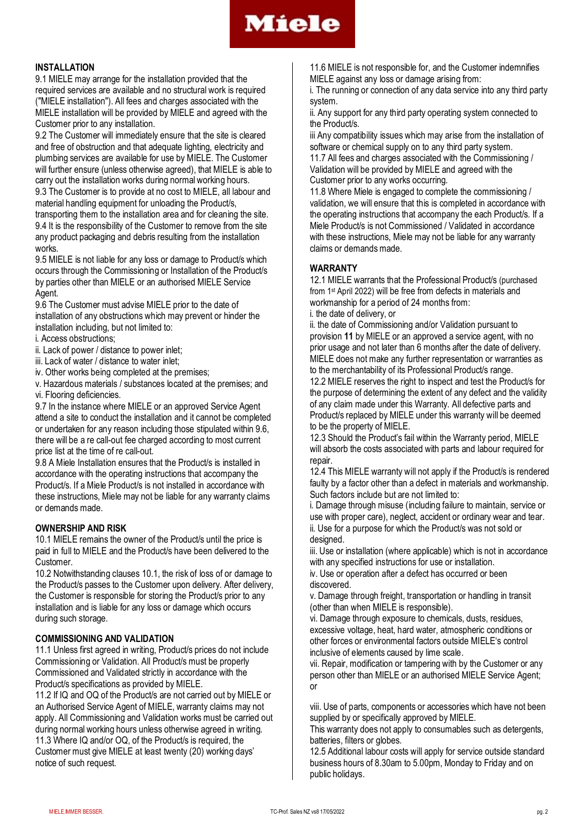

### **INSTALLATION**

9.1 MIELE may arrange for the installation provided that the required services are available and no structural work is required ("MIELE installation"). All fees and charges associated with the MIELE installation will be provided by MIELE and agreed with the Customer prior to any installation.

9.2 The Customer will immediately ensure that the site is cleared and free of obstruction and that adequate lighting, electricity and plumbing services are available for use by MIELE. The Customer will further ensure (unless otherwise agreed), that MIELE is able to carry out the installation works during normal working hours.

9.3 The Customer is to provide at no cost to MIELE, all labour and material handling equipment for unloading the Product/s,

transporting them to the installation area and for cleaning the site. 9.4 It is the responsibility of the Customer to remove from the site any product packaging and debris resulting from the installation works.

9.5 MIELE is not liable for any loss or damage to Product/s which occurs through the Commissioning or Installation of the Product/s by parties other than MIELE or an authorised MIELE Service Agent.

9.6 The Customer must advise MIELE prior to the date of installation of any obstructions which may prevent or hinder the installation including, but not limited to:

i. Access obstructions;

ii. Lack of power / distance to power inlet;

iii. Lack of water / distance to water inlet;

iv. Other works being completed at the premises;

v. Hazardous materials / substances located at the premises; and vi. Flooring deficiencies.

9.7 In the instance where MIELE or an approved Service Agent attend a site to conduct the installation and it cannot be completed or undertaken for any reason including those stipulated within 9.6, there will be a re call-out fee charged according to most current price list at the time of re call-out.

9.8 A Miele Installation ensures that the Product/s is installed in accordance with the operating instructions that accompany the Product/s. If a Miele Product/s is not installed in accordance with these instructions, Miele may not be liable for any warranty claims or demands made.

# **OWNERSHIP AND RISK**

10.1 MIELE remains the owner of the Product/s until the price is paid in full to MIELE and the Product/s have been delivered to the Customer.

10.2 Notwithstanding clauses 10.1, the risk of loss of or damage to the Product/s passes to the Customer upon delivery. After delivery, the Customer is responsible for storing the Product/s prior to any installation and is liable for any loss or damage which occurs during such storage.

# **COMMISSIONING AND VALIDATION**

11.1 Unless first agreed in writing, Product/s prices do not include Commissioning or Validation. All Product/s must be properly Commissioned and Validated strictly in accordance with the Product/s specifications as provided by MIELE.

11.2 If IQ and OQ of the Product/s are not carried out by MIELE or an Authorised Service Agent of MIELE, warranty claims may not apply. All Commissioning and Validation works must be carried out during normal working hours unless otherwise agreed in writing. 11.3 Where IQ and/or OQ, of the Product/s is required, the Customer must give MIELE at least twenty (20) working days' notice of such request.

11.6 MIELE is not responsible for, and the Customer indemnifies MIELE against any loss or damage arising from:

i. The running or connection of any data service into any third party system.

ii. Any support for any third party operating system connected to the Product/s.

iii Any compatibility issues which may arise from the installation of software or chemical supply on to any third party system.

11.7 All fees and charges associated with the Commissioning / Validation will be provided by MIELE and agreed with the Customer prior to any works occurring.

11.8 Where Miele is engaged to complete the commissioning / validation, we will ensure that this is completed in accordance with the operating instructions that accompany the each Product/s. If a Miele Product/s is not Commissioned / Validated in accordance with these instructions, Miele may not be liable for any warranty claims or demands made.

# **WARRANTY**

12.1 MIELE warrants that the Professional Product/s (purchased from 1st April 2022) will be free from defects in materials and workmanship for a period of 24 months from:

i. the date of delivery, or

ii. the date of Commissioning and/or Validation pursuant to provision **11** by MIELE or an approved a service agent, with no prior usage and not later than 6 months after the date of delivery. MIELE does not make any further representation or warranties as to the merchantability of its Professional Product/s range.

12.2 MIELE reserves the right to inspect and test the Product/s for the purpose of determining the extent of any defect and the validity of any claim made under this Warranty. All defective parts and Product/s replaced by MIELE under this warranty will be deemed to be the property of MIELE.

12.3 Should the Product's fail within the Warranty period, MIELE will absorb the costs associated with parts and labour required for repair.

12.4 This MIELE warranty will not apply if the Product/s is rendered faulty by a factor other than a defect in materials and workmanship. Such factors include but are not limited to:

i. Damage through misuse (including failure to maintain, service or use with proper care), neglect, accident or ordinary wear and tear. ii. Use for a purpose for which the Product/s was not sold or designed.

iii. Use or installation (where applicable) which is not in accordance with any specified instructions for use or installation.

iv. Use or operation after a defect has occurred or been discovered.

v. Damage through freight, transportation or handling in transit (other than when MIELE is responsible).

vi. Damage through exposure to chemicals, dusts, residues, excessive voltage, heat, hard water, atmospheric conditions or other forces or environmental factors outside MIELE's control inclusive of elements caused by lime scale.

vii. Repair, modification or tampering with by the Customer or any person other than MIELE or an authorised MIELE Service Agent; or

viii. Use of parts, components or accessories which have not been supplied by or specifically approved by MIELE.

This warranty does not apply to consumables such as detergents, batteries, filters or globes.

12.5 Additional labour costs will apply for service outside standard business hours of 8.30am to 5.00pm, Monday to Friday and on public holidays.